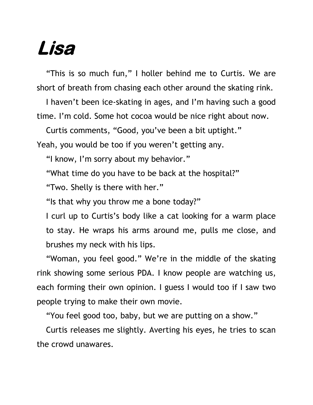## **Lisa**

"This is so much fun," I holler behind me to Curtis. We are short of breath from chasing each other around the skating rink.

I haven't been ice-skating in ages, and I'm having such a good time. I'm cold. Some hot cocoa would be nice right about now.

Curtis comments, "Good, you've been a bit uptight."

Yeah, you would be too if you weren't getting any.

"I know, I'm sorry about my behavior."

"What time do you have to be back at the hospital?"

"Two. Shelly is there with her."

"Is that why you throw me a bone today?"

I curl up to Curtis's body like a cat looking for a warm place to stay. He wraps his arms around me, pulls me close, and brushes my neck with his lips.

"Woman, you feel good." We're in the middle of the skating rink showing some serious PDA. I know people are watching us, each forming their own opinion. I guess I would too if I saw two people trying to make their own movie.

"You feel good too, baby, but we are putting on a show."

Curtis releases me slightly. Averting his eyes, he tries to scan the crowd unawares.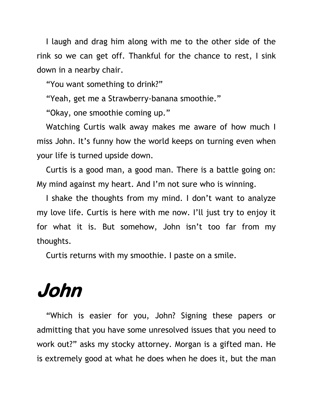I laugh and drag him along with me to the other side of the rink so we can get off. Thankful for the chance to rest, I sink down in a nearby chair.

"You want something to drink?"

"Yeah, get me a Strawberry-banana smoothie."

"Okay, one smoothie coming up."

Watching Curtis walk away makes me aware of how much I miss John. It's funny how the world keeps on turning even when your life is turned upside down.

Curtis is a good man, a good man. There is a battle going on: My mind against my heart. And I'm not sure who is winning.

I shake the thoughts from my mind. I don't want to analyze my love life. Curtis is here with me now. I'll just try to enjoy it for what it is. But somehow, John isn't too far from my thoughts.

Curtis returns with my smoothie. I paste on a smile.

## **John**

"Which is easier for you, John? Signing these papers or admitting that you have some unresolved issues that you need to work out?" asks my stocky attorney. Morgan is a gifted man. He is extremely good at what he does when he does it, but the man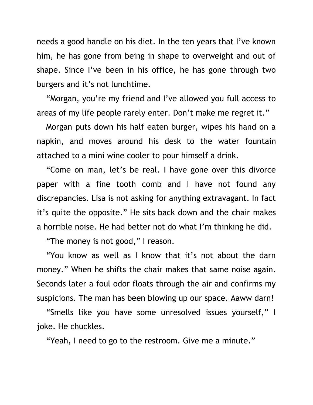needs a good handle on his diet. In the ten years that I've known him, he has gone from being in shape to overweight and out of shape. Since I've been in his office, he has gone through two burgers and it's not lunchtime.

"Morgan, you're my friend and I've allowed you full access to areas of my life people rarely enter. Don't make me regret it."

Morgan puts down his half eaten burger, wipes his hand on a napkin, and moves around his desk to the water fountain attached to a mini wine cooler to pour himself a drink.

"Come on man, let's be real. I have gone over this divorce paper with a fine tooth comb and I have not found any discrepancies. Lisa is not asking for anything extravagant. In fact it's quite the opposite." He sits back down and the chair makes a horrible noise. He had better not do what I'm thinking he did.

"The money is not good," I reason.

"You know as well as I know that it's not about the darn money." When he shifts the chair makes that same noise again. Seconds later a foul odor floats through the air and confirms my suspicions. The man has been blowing up our space. Aaww darn!

"Smells like you have some unresolved issues yourself," I joke. He chuckles.

"Yeah, I need to go to the restroom. Give me a minute."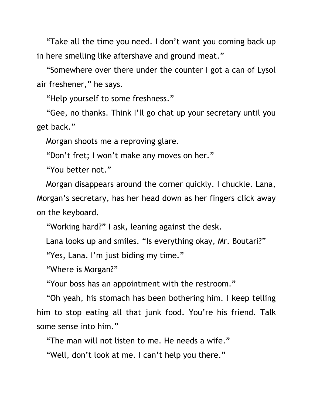"Take all the time you need. I don't want you coming back up in here smelling like aftershave and ground meat."

"Somewhere over there under the counter I got a can of Lysol air freshener," he says.

"Help yourself to some freshness."

"Gee, no thanks. Think I'll go chat up your secretary until you get back."

Morgan shoots me a reproving glare.

"Don't fret; I won't make any moves on her."

"You better not."

Morgan disappears around the corner quickly. I chuckle. Lana, Morgan's secretary, has her head down as her fingers click away on the keyboard.

"Working hard?" I ask, leaning against the desk.

Lana looks up and smiles. "Is everything okay, Mr. Boutari?"

"Yes, Lana. I'm just biding my time."

"Where is Morgan?"

"Your boss has an appointment with the restroom."

"Oh yeah, his stomach has been bothering him. I keep telling him to stop eating all that junk food. You're his friend. Talk some sense into him."

"The man will not listen to me. He needs a wife."

"Well, don't look at me. I can't help you there."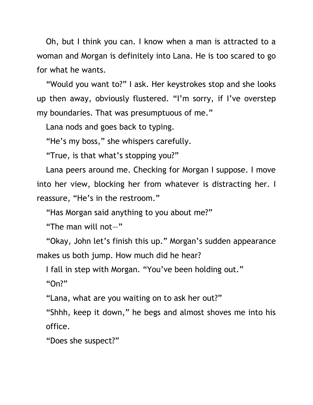Oh, but I think you can. I know when a man is attracted to a woman and Morgan is definitely into Lana. He is too scared to go for what he wants.

"Would you want to?" I ask. Her keystrokes stop and she looks up then away, obviously flustered. "I'm sorry, if I've overstep my boundaries. That was presumptuous of me."

Lana nods and goes back to typing.

"He's my boss," she whispers carefully.

"True, is that what's stopping you?"

Lana peers around me. Checking for Morgan I suppose. I move into her view, blocking her from whatever is distracting her. I reassure, "He's in the restroom."

"Has Morgan said anything to you about me?"

"The man will not $-$ "

"Okay, John let's finish this up." Morgan's sudden appearance makes us both jump. How much did he hear?

I fall in step with Morgan. "You've been holding out."

"On?"

"Lana, what are you waiting on to ask her out?"

"Shhh, keep it down," he begs and almost shoves me into his office.

"Does she suspect?"